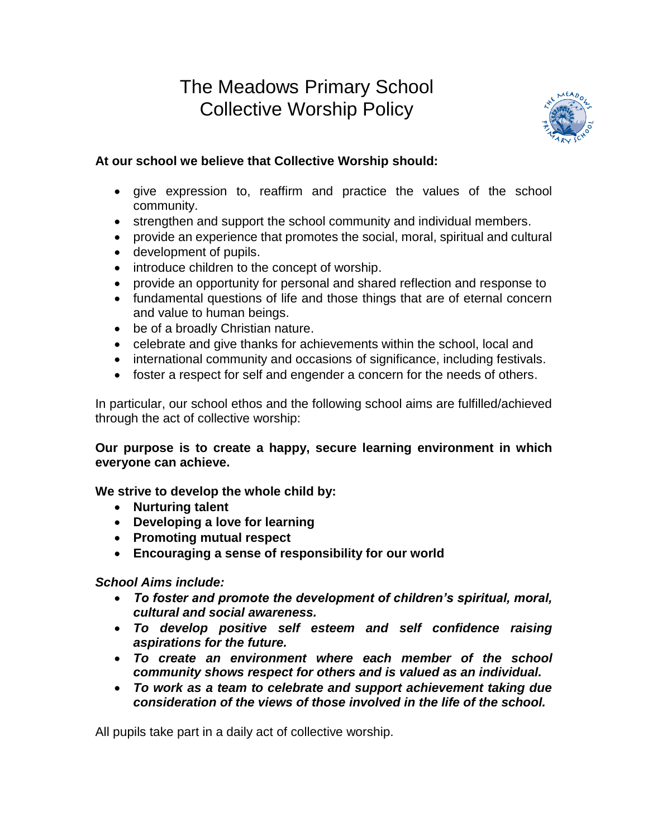# The Meadows Primary School Collective Worship Policy



## **At our school we believe that Collective Worship should:**

- give expression to, reaffirm and practice the values of the school community.
- strengthen and support the school community and individual members.
- provide an experience that promotes the social, moral, spiritual and cultural
- development of pupils.
- introduce children to the concept of worship.
- provide an opportunity for personal and shared reflection and response to
- fundamental questions of life and those things that are of eternal concern and value to human beings.
- be of a broadly Christian nature.
- celebrate and give thanks for achievements within the school, local and
- international community and occasions of significance, including festivals.
- foster a respect for self and engender a concern for the needs of others.

In particular, our school ethos and the following school aims are fulfilled/achieved through the act of collective worship:

## **Our purpose is to create a happy, secure learning environment in which everyone can achieve.**

## **We strive to develop the whole child by:**

- **Nurturing talent**
- **Developing a love for learning**
- **Promoting mutual respect**
- **Encouraging a sense of responsibility for our world**

## *School Aims include:*

- *To foster and promote the development of children's spiritual, moral, cultural and social awareness.*
- *To develop positive self esteem and self confidence raising aspirations for the future.*
- *To create an environment where each member of the school community shows respect for others and is valued as an individual.*
- *To work as a team to celebrate and support achievement taking due consideration of the views of those involved in the life of the school.*

All pupils take part in a daily act of collective worship.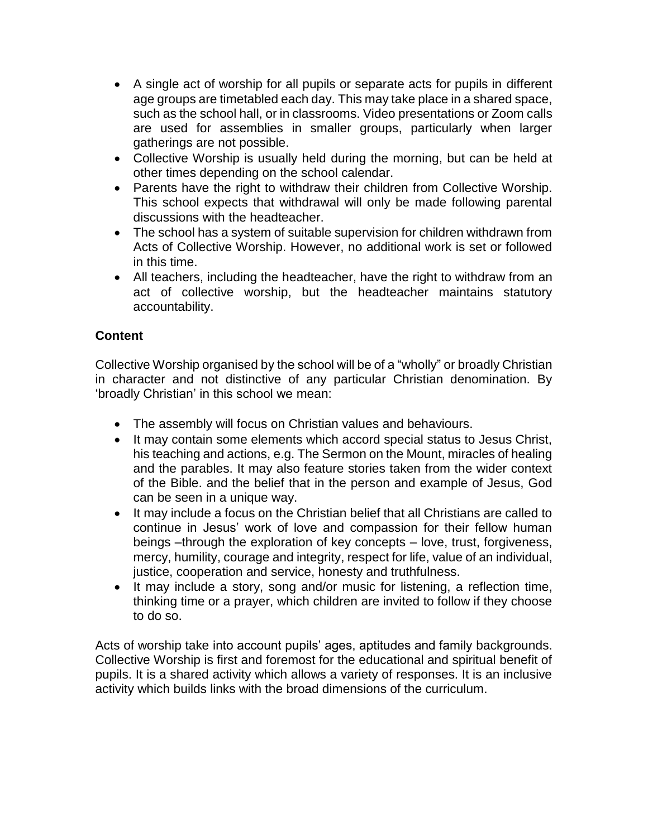- A single act of worship for all pupils or separate acts for pupils in different age groups are timetabled each day. This may take place in a shared space, such as the school hall, or in classrooms. Video presentations or Zoom calls are used for assemblies in smaller groups, particularly when larger gatherings are not possible.
- Collective Worship is usually held during the morning, but can be held at other times depending on the school calendar.
- Parents have the right to withdraw their children from Collective Worship. This school expects that withdrawal will only be made following parental discussions with the headteacher.
- The school has a system of suitable supervision for children withdrawn from Acts of Collective Worship. However, no additional work is set or followed in this time.
- All teachers, including the headteacher, have the right to withdraw from an act of collective worship, but the headteacher maintains statutory accountability.

## **Content**

Collective Worship organised by the school will be of a "wholly" or broadly Christian in character and not distinctive of any particular Christian denomination. By 'broadly Christian' in this school we mean:

- The assembly will focus on Christian values and behaviours.
- It may contain some elements which accord special status to Jesus Christ, his teaching and actions, e.g. The Sermon on the Mount, miracles of healing and the parables. It may also feature stories taken from the wider context of the Bible. and the belief that in the person and example of Jesus, God can be seen in a unique way.
- It may include a focus on the Christian belief that all Christians are called to continue in Jesus' work of love and compassion for their fellow human beings –through the exploration of key concepts – love, trust, forgiveness, mercy, humility, courage and integrity, respect for life, value of an individual, justice, cooperation and service, honesty and truthfulness.
- It may include a story, song and/or music for listening, a reflection time, thinking time or a prayer, which children are invited to follow if they choose to do so.

Acts of worship take into account pupils' ages, aptitudes and family backgrounds. Collective Worship is first and foremost for the educational and spiritual benefit of pupils. It is a shared activity which allows a variety of responses. It is an inclusive activity which builds links with the broad dimensions of the curriculum.